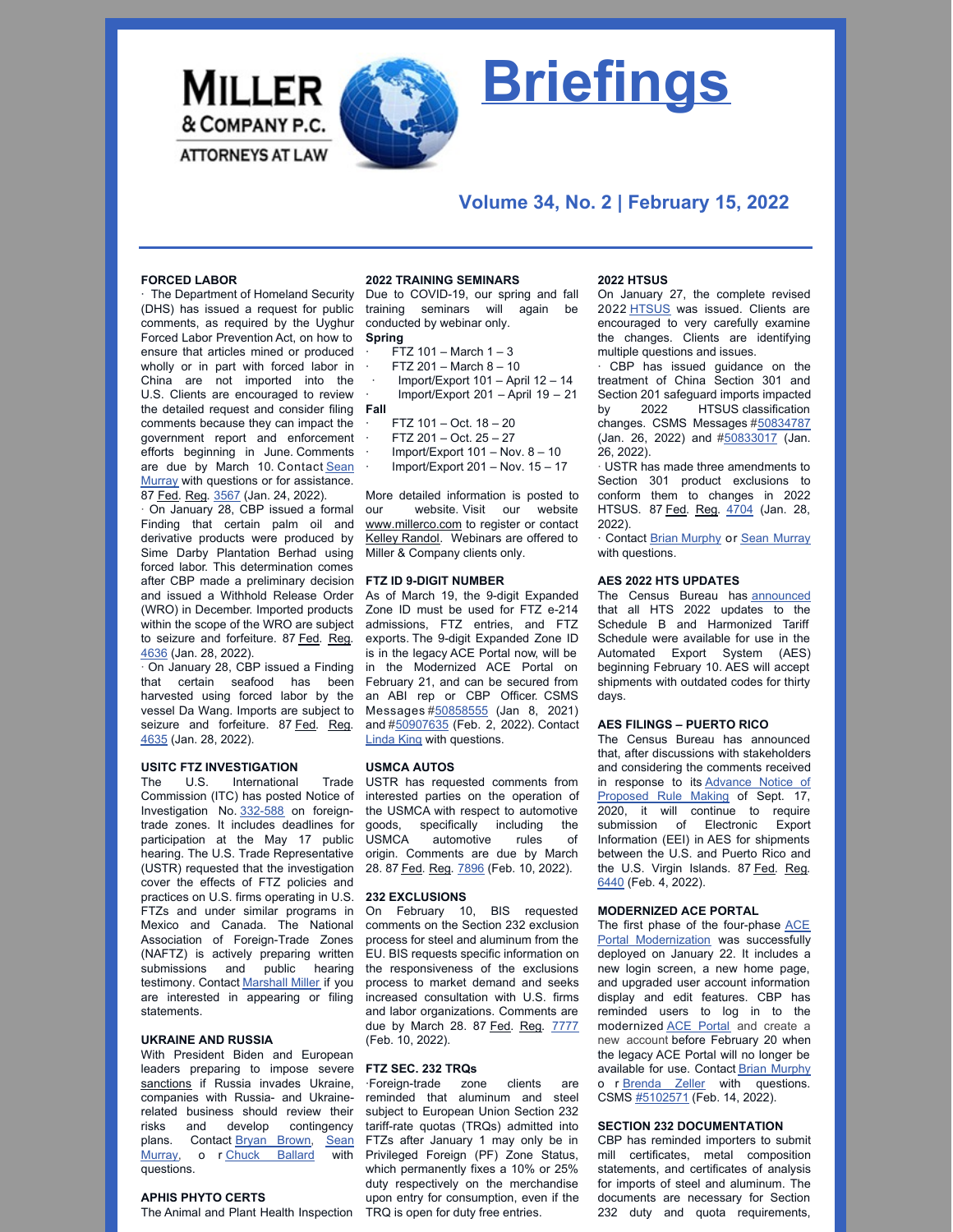

# **Briefings**

# **Volume 34, No. 2 | February 15, 2022**

### **FORCED LABOR**

The Department of Homeland Security (DHS) has issued a request for public comments, as required by the Uyghur Forced Labor Prevention Act, on how to ensure that articles mined or produced wholly or in part with forced labor in China are not imported into the U.S. Clients are encouraged to review the detailed request and consider filing **Fall** comments because they can impact the government report and enforcement efforts beginning in June. Comments are due by March 10. Contact Sean Murray with questions or for [assistance.](mailto:smurray@millerco.com) 87 Fed. Reg. [3567](https://www.govinfo.gov/content/pkg/FR-2022-01-24/pdf/2022-01444.pdf) (Jan. 24, 2022).

· On January 28, CBP issued a formal Finding that certain palm oil and derivative products were produced by Sime Darby Plantation Berhad using forced labor. This determination comes after CBP made a preliminary decision and issued a Withhold Release Order (WRO) in December. Imported products within the scope of the WRO are subject to seizure and forfeiture. 87 Fed. Reg. [4636](https://nam10.safelinks.protection.outlook.com/?url=https%3A%2F%2Fwww.govinfo.gov%2Fcontent%2Fpkg%2FFR-2022-01-28%2Fpdf%2F2022-01779.pdf&data=04%7C01%7Cmcox%40millerco.com%7Cb1acc9ed3cdb44c3cbef08d9ec0433b8%7C73a168550ba84f79a774e89e3694b602%7C1%7C0%7C637800325047845464%7CUnknown%7CTWFpbGZsb3d8eyJWIjoiMC4wLjAwMDAiLCJQIjoiV2luMzIiLCJBTiI6Ik1haWwiLCJXVCI6Mn0%3D%7C3000&sdata=rAxXf345cFbe4EV4NJrRLq6AZW5tA164v8ZArh52BSA%3D&reserved=0) (Jan. 28, 2022).

· On January 28, CBP issued a Finding that certain seafood has been harvested using forced labor by the vessel Da Wang. Imports are subject to seizure and forfeiture. 87 Fed. Reg. [4635](https://nam10.safelinks.protection.outlook.com/?url=https%3A%2F%2Fwww.govinfo.gov%2Fcontent%2Fpkg%2FFR-2022-01-28%2Fpdf%2F2022-01778.pdf&data=04%7C01%7Cmcox%40millerco.com%7Cb1acc9ed3cdb44c3cbef08d9ec0433b8%7C73a168550ba84f79a774e89e3694b602%7C1%7C0%7C637800325047845464%7CUnknown%7CTWFpbGZsb3d8eyJWIjoiMC4wLjAwMDAiLCJQIjoiV2luMzIiLCJBTiI6Ik1haWwiLCJXVCI6Mn0%3D%7C3000&sdata=TVbL3dnRJt9pgzm0HoUg5uIkNxKLvdhhHyCEZSJUV%2B0%3D&reserved=0) (Jan. 28, 2022).

### **USITC FTZ INVESTIGATION**

The U.S. International Trade Commission (ITC) has posted Notice of Investigation No. [332-588](https://www.usitc.gov/secretary/fed_reg_notices/332/332_588_notice01262022sgl.pdf) on foreigntrade zones. It includes deadlines for participation at the May 17 public hearing. The U.S. Trade Representative (USTR) requested that the investigation cover the effects of FTZ policies and practices on U.S. firms operating in U.S. FTZs and under similar programs in Mexico and Canada. The National Association of Foreign-Trade Zones (NAFTZ) is actively preparing written submissions and public hearing testimony. Contact [Marshall](mailto:mmiller@millerco.com) Miller if you are interested in appearing or filing statements.

### **UKRAINE AND RUSSIA**

With President Biden and European leaders preparing to impose severe [sanctions](https://millerco.com/sites/default/files/2022-02/Business in Russia - Readout of President Biden%E2%80%99s Video Call with European Leaders on Russia and Ukraine _ The White House.pdf) if Russia invades Ukraine, companies with Russia- and Ukrainerelated business should review their risks and develop contingency plans. [Contact](mailto:smurray@millerco.com) Bryan [Brown](mailto:bbrown@millerco.com), Sean Murray, o r Chuck [Ballard](mailto:Cballard@millerco.com) with questions.

### **APHIS PHYTO CERTS**

The Animal and Plant Health Inspection TRQ is open for duty free entries.

### **2022 TRAINING SEMINARS**

Due to COVID-19, our spring and fall training seminars will again be conducted by webinar only. **Spring**

- $FTZ$  101 March 1 3
- $FTZ 201 March 8 10$

· Import/Export 101 – April 12 – 14 · Import/Export 201 – April 19 – 21

- · FTZ 101 Oct. 18 20
- · FTZ 201 Oct. 25 27
- Import/Export  $101 Nov. 8 10$
- Import/Export 201 Nov.  $15 17$

More detailed information is posted to our website. Visit our website [www.millerco.com](https://nam10.safelinks.protection.outlook.com/?url=http%3A%2F%2Fwww.millerco.com%2F&data=04%7C01%7Ckrandol%40millerco.com%7Ccef4beb0298646b2419808d9daa6999e%7C73a168550ba84f79a774e89e3694b602%7C1%7C0%7C637781231367302624%7CUnknown%7CTWFpbGZsb3d8eyJWIjoiMC4wLjAwMDAiLCJQIjoiV2luMzIiLCJBTiI6Ik1haWwiLCJXVCI6Mn0%3D%7C3000&sdata=QPudSOZn8fmdy0HKUdAmKALB5Ocrs9fe%2FFkLGlA4%2FUs%3D&reserved=0) to register or contact Kelley [Randol](mailto:krandol@millerco.com). Webinars are offered to Miller & Company clients only.

### **FTZ ID 9-DIGIT NUMBER**

As of March 19, the 9-digit Expanded Zone ID must be used for FTZ e-214 admissions, FTZ entries, and FTZ exports. The 9-digit Expanded Zone ID is in the legacy ACE Portal now, will be in the Modernized ACE Portal on February 21, and can be secured from an ABI rep or CBP Officer. CSMS Messages [#50858555](https://content.govdelivery.com/bulletins/gd/USDHSCBP-3080a3b?wgt_ref=USDHSCBP_WIDGET_2) (Jan 8, 2021) and [#50907635](https://content.govdelivery.com/bulletins/gd/USDHSCBP-308c9f3?wgt_ref=USDHSCBP_WIDGET_2) (Feb. 2, 2022). Contact [Linda](mailto:lking@millerco.com) King with questions.

### **USMCA AUTOS**

USTR has requested comments from interested parties on the operation of the USMCA with respect to automotive goods, specifically including the<br>USMCA automotive rules of automotive rules of origin. Comments are due by March 28. 87 Fed. Reg. [7896](https://nam10.safelinks.protection.outlook.com/?url=https%3A%2F%2Fwww.govinfo.gov%2Fcontent%2Fpkg%2FFR-2022-02-10%2Fpdf%2F2022-02793.pdf&data=04%7C01%7Cmcox%40millerco.com%7Cb0f6646467a04bf3619308d9ed84d065%7C73a168550ba84f79a774e89e3694b602%7C1%7C0%7C637801976943493495%7CUnknown%7CTWFpbGZsb3d8eyJWIjoiMC4wLjAwMDAiLCJQIjoiV2luMzIiLCJBTiI6Ik1haWwiLCJXVCI6Mn0%3D%7C3000&sdata=tsPz%2Fgx%2BBC%2Bb8h6ylRJRuHMf%2BzU354Ca712dv0aHnns%3D&reserved=0) (Feb. 10, 2022).

# **232 EXCLUSIONS**

On February 10, BIS requested comments on the Section 232 exclusion process for steel and aluminum from the EU. BIS requests specific information on the responsiveness of the exclusions process to market demand and seeks increased consultation with U.S. firms and labor organizations. Comments are due by March 28. 87 Fed. Reg. [7777](https://nam10.safelinks.protection.outlook.com/?url=https%3A%2F%2Fwww.govinfo.gov%2Fcontent%2Fpkg%2FFR-2022-02-10%2Fpdf%2F2022-02870.pdf&data=04%7C01%7Cmcox%40millerco.com%7Cb0f6646467a04bf3619308d9ed84d065%7C73a168550ba84f79a774e89e3694b602%7C1%7C0%7C637801976943493495%7CUnknown%7CTWFpbGZsb3d8eyJWIjoiMC4wLjAwMDAiLCJQIjoiV2luMzIiLCJBTiI6Ik1haWwiLCJXVCI6Mn0%3D%7C3000&sdata=SrCZ1ZV39SkSRLlSin21jZJ6uEXvC8BFseE6OJIWec4%3D&reserved=0) (Feb. 10, 2022).

### **FTZ SEC. 232 TRQs**

·Foreign-trade zone clients are reminded that aluminum and steel subject to European Union Section 232 tariff-rate quotas (TRQs) admitted into FTZs after January 1 may only be in Privileged Foreign (PF) Zone Status, which permanently fixes a 10% or 25% duty respectively on the merchandise upon entry for consumption, even if the

### **2022 HTSUS**

On January 27, the complete revised 2022 [HTSUS](https://hts.usitc.gov/current) was issued. Clients are encouraged to very carefully examine the changes. Clients are identifying multiple questions and issues.

· CBP has issued guidance on the treatment of China Section 301 and Section 201 safeguard imports impacted by 2022 HTSUS classification changes. CSMS Messages #[50834787](https://nam10.safelinks.protection.outlook.com/?url=https%3A%2F%2Fcontent.govdelivery.com%2Fbulletins%2Fgd%2FUSDHSCBP-307ad63%3Fwgt_ref%3DUSDHSCBP_WIDGET_2&data=04%7C01%7Cmcox%40millerco.com%7Cb1acc9ed3cdb44c3cbef08d9ec0433b8%7C73a168550ba84f79a774e89e3694b602%7C1%7C0%7C637800325047845464%7CUnknown%7CTWFpbGZsb3d8eyJWIjoiMC4wLjAwMDAiLCJQIjoiV2luMzIiLCJBTiI6Ik1haWwiLCJXVCI6Mn0%3D%7C3000&sdata=qLDpHkxhH8AoRIqDVuYzde5eai4OYvYjwo6j1ICchRU%3D&reserved=0) (Jan. 26, 2022) and [#50833017](https://nam10.safelinks.protection.outlook.com/?url=https%3A%2F%2Fcontent.govdelivery.com%2Fbulletins%2Fgd%2FUSDHSCBP-307a679%3Fwgt_ref%3DUSDHSCBP_WIDGET_2&data=04%7C01%7Cmcox%40millerco.com%7Cb1acc9ed3cdb44c3cbef08d9ec0433b8%7C73a168550ba84f79a774e89e3694b602%7C1%7C0%7C637800325047845464%7CUnknown%7CTWFpbGZsb3d8eyJWIjoiMC4wLjAwMDAiLCJQIjoiV2luMzIiLCJBTiI6Ik1haWwiLCJXVCI6Mn0%3D%7C3000&sdata=O7Np001sgwKvZpclPsiAPuH%2F9jfWDJb8chiVj6Gc5%2BM%3D&reserved=0) (Jan. 26, 2022).

· USTR has made three amendments to Section 301 product exclusions to conform them to changes in 2022 HTSUS. 87 Fed. Reg. [4704](https://www.federalregister.gov/documents/2022/01/28/2022-01732/conforming-amendments-to-product-exclusion-extensions-chinas-acts-policies-and-practices-related-to) (Jan. 28, 2022).

· Contact Brian [Murphy](mailto:bmurphy@millerco.com) or Sean [Murray](mailto:smurray@millerco.com) with questions.

### **AES 2022 HTS UPDATES**

The Census Bureau has [announced](https://millerco.com/sites/default/files/2022-02/US Census Bureau Schedule B and Harmonized Tariff Schedule Updates.pdf) that all HTS 2022 updates to the Schedule B and Harmonized Tariff Schedule were available for use in the Automated Export System (AES) beginning February 10. AES will accept shipments with outdated codes for thirty days.

# **AES FILINGS – PUERTO RICO**

The Census Bureau has announced that, after discussions with stakeholders and considering the comments received in response to its Advance Notice of [Proposed](https://nam10.safelinks.protection.outlook.com/?url=https%3A%2F%2Fwww.census.gov%2Fforeign-trade%2Fregulations%2Fregs%2Fregulations20200917-federalregister.pdf&data=04%7C01%7Cmcox%40millerco.com%7Cc5bb417eeb0847458d7608d9ea84aa45%7C73a168550ba84f79a774e89e3694b602%7C1%7C0%7C637798677776353713%7CUnknown%7CTWFpbGZsb3d8eyJWIjoiMC4wLjAwMDAiLCJQIjoiV2luMzIiLCJBTiI6Ik1haWwiLCJXVCI6Mn0%3D%7C3000&sdata=1NdsUKgHBpV%2Fjl%2F%2FEhAEK2ngiVZ8OsqVuNQ2LGY4KjE%3D&reserved=0) Rule Making of Sept. 17, 2020, it will continue to require submission of Electronic Export Information (EEI) in AES for shipments between the U.S. and Puerto Rico and the U.S. Virgin Islands. 87 Fed. Reg. [6440](https://nam10.safelinks.protection.outlook.com/?url=https%3A%2F%2Fwww.govinfo.gov%2Fcontent%2Fpkg%2FFR-2022-02-04%2Fpdf%2F2022-02341.pdf&data=04%7C01%7Cmcox%40millerco.com%7Cc5bb417eeb0847458d7608d9ea84aa45%7C73a168550ba84f79a774e89e3694b602%7C1%7C0%7C637798677776353713%7CUnknown%7CTWFpbGZsb3d8eyJWIjoiMC4wLjAwMDAiLCJQIjoiV2luMzIiLCJBTiI6Ik1haWwiLCJXVCI6Mn0%3D%7C3000&sdata=WFsDt5H8rRUpAV5bm9JV5SOLNmVhs%2Bb0U4SA0Uc%2BZT8%3D&reserved=0) (Feb. 4, 2022).

### **MODERNIZED ACE PORTAL**

The first phase of the four-phase ACE **Portal [Modernization](https://nam10.safelinks.protection.outlook.com/?url=https%3A%2F%2Fwww.cbp.gov%2Ftrade%2Fautomated%2Face-portal-modernization&data=04%7C01%7Cmcox%40millerco.com%7C3272d08c7beb42988e7c08d9ebd34059%7C73a168550ba84f79a774e89e3694b602%7C1%7C0%7C637800114846152232%7CUnknown%7CTWFpbGZsb3d8eyJWIjoiMC4wLjAwMDAiLCJQIjoiV2luMzIiLCJBTiI6Ik1haWwiLCJXVCI6Mn0%3D%7C3000&sdata=dCzHSJUhWzqy2TfayEll%2FIO91xOnYOKDbH96XLbhPiw%3D&reserved=0)** was successfully deployed on January 22. It includes a new login screen, a new home page, and upgraded user account information display and edit features. CBP has reminded users to log in to the modernized ACE [Portal](https://nam10.safelinks.protection.outlook.com/?url=https%3A%2F%2Face.cbp.gov%2Fs%2Flogin%2F%3Fec%3D302%26startURL%3D%252Fs%252F&data=04%7C01%7Cmcox%40millerco.com%7C3272d08c7beb42988e7c08d9ebd34059%7C73a168550ba84f79a774e89e3694b602%7C1%7C0%7C637800114845995995%7CUnknown%7CTWFpbGZsb3d8eyJWIjoiMC4wLjAwMDAiLCJQIjoiV2luMzIiLCJBTiI6Ik1haWwiLCJXVCI6Mn0%3D%7C3000&sdata=wLmLN%2FmBHjy1hJ7XR%2B5z8dU%2BrE7X4evJ%2Bz%2BWwLOiRaI%3D&reserved=0) and create a new account before February 20 when the legacy ACE Portal will no longer be available for use. Contact Brian [Murphy](mailto:bmurphy@millerco.com) o r **[Brenda](mailto:bzeller@millerco.com) Zeller** with questions. CSMS [#5102571](https://content.govdelivery.com/bulletins/gd/USDHSCBP-30a974d?wgt_ref=USDHSCBP_WIDGET_2) (Feb. 14, 2022).

# **SECTION 232 DOCUMENTATION**

CBP has reminded importers to submit mill certificates, metal composition statements, and certificates of analysis for imports of steel and aluminum. The documents are necessary for Section 232 duty and quota requirements,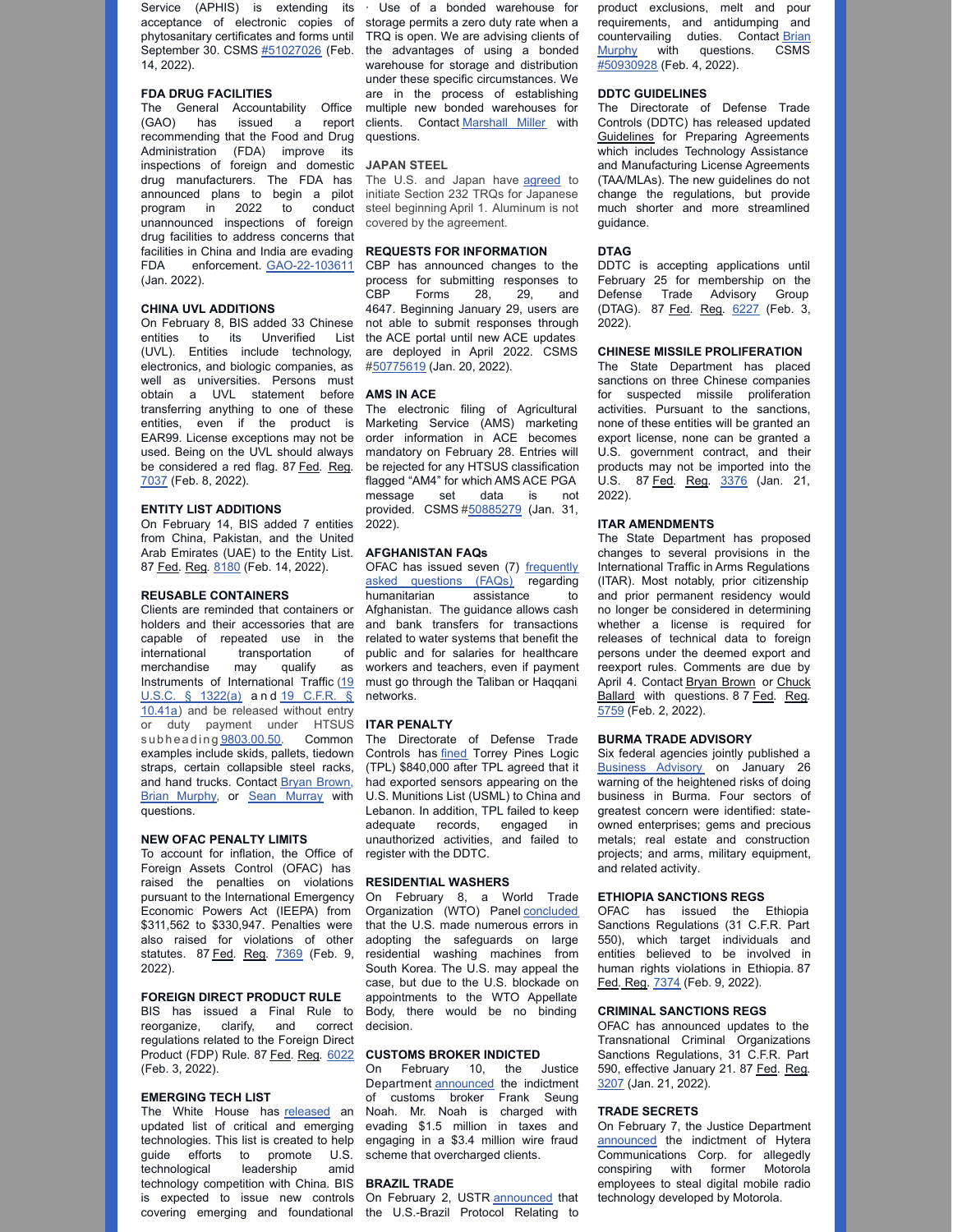Service (APHIS) is extending its · Use of a bonded warehouse for 14, 2022).

### **FDA DRUG FACILITIES**

The General Accountability Office recommending that the Food and Drug questions. Administration (FDA) improve its inspections of foreign and domestic **JAPAN STEEL** drug manufacturers. The FDA has announced plans to begin a pilot program in 2022 to conduct unannounced inspections of foreign drug facilities to address concerns that facilities in China and India are evading FDA enforcement. [GAO-22-103611](https://www.gao.gov/assets/720/718363.pdf) (Jan. 2022).

### **CHINA UVL ADDITIONS**

On February 8, BIS added 33 Chinese entities to its Unverified List (UVL). Entities include technology, electronics, and biologic companies, as well as universities. Persons must obtain a UVL statement before transferring anything to one of these entities, even if the product is EAR99. License exceptions may not be used. Being on the UVL should always be considered a red flag. 87 Fed. Reg. [7037](https://nam10.safelinks.protection.outlook.com/?url=https%3A%2F%2Fwww.govinfo.gov%2Fcontent%2Fpkg%2FFR-2022-02-08%2Fpdf%2F2022-02536.pdf%3Futm_source%3Dfederalregister.gov%26utm_medium%3Demail%26utm_campaign%3Dsubscription%2Bmailing%2Blist&data=04%7C01%7Cmcox%40millerco.com%7Ca6916709064343d6f6b508d9eb2a7a10%7C73a168550ba84f79a774e89e3694b602%7C1%7C0%7C637799389945252627%7CUnknown%7CTWFpbGZsb3d8eyJWIjoiMC4wLjAwMDAiLCJQIjoiV2luMzIiLCJBTiI6Ik1haWwiLCJXVCI6Mn0%3D%7C3000&sdata=JvIJoujMRlLqKksu9ljiA8NnoAoGFIA%2FFZbh4g2XLFA%3D&reserved=0) (Feb. 8, 2022).

### **ENTITY LIST ADDITIONS**

On February 14, BIS added 7 entities from China, Pakistan, and the United Arab Emirates (UAE) to the Entity List. 87 Fed. Reg. [8180](https://nam10.safelinks.protection.outlook.com/?url=https%3A%2F%2Fwww.govinfo.gov%2Fcontent%2Fpkg%2FFR-2022-02-14%2Fpdf%2F2022-03029.pdf%3Futm_source%3Dfederalregister.gov%26utm_medium%3Demail%26utm_campaign%3Dsubscription%2Bmailing%2Blist&data=04%7C01%7Cmcox%40millerco.com%7Cec18071286c94df5380408d9eff0b1fa%7C73a168550ba84f79a774e89e3694b602%7C1%7C0%7C637804639327890628%7CUnknown%7CTWFpbGZsb3d8eyJWIjoiMC4wLjAwMDAiLCJQIjoiV2luMzIiLCJBTiI6Ik1haWwiLCJXVCI6Mn0%3D%7C3000&sdata=ryS1IbjBRmP7vXV4QQQI3HKp2Mf6Nd8dDim8Gy4n0pI%3D&reserved=0) (Feb. 14, 2022).

### **REUSABLE CONTAINERS**

Clients are reminded that containers or holders and their accessories that are capable of repeated use in the international transportation of merchandise may qualify as Instruments of [International](https://nam10.safelinks.protection.outlook.com/?url=https%3A%2F%2Fwww.law.cornell.edu%2Fuscode%2Ftext%2F19%2F1322&data=04%7C01%7Cmcox%40millerco.com%7Cc22420d9658748eb549c08d9e1e84cef%7C73a168550ba84f79a774e89e3694b602%7C1%7C0%7C637789210143631445%7CUnknown%7CTWFpbGZsb3d8eyJWIjoiMC4wLjAwMDAiLCJQIjoiV2luMzIiLCJBTiI6Ik1haWwiLCJXVCI6Mn0%3D%7C3000&sdata=o5BHzy%2BMHjXRpRPfY2YZBp%2F%2BSl9mOwh3oc4ycne5RVg%3D&reserved=0) Traffic (19 U.S.C. § 1322(a) and 19 C.F.R. § 10.41a) and be [released](https://nam10.safelinks.protection.outlook.com/?url=https%3A%2F%2Fwww.ecfr.gov%2Fcurrent%2Ftitle-19%2Fchapter-I%2Fpart-10%2Fsubpart-A%2Fsubject-group-ECFR1577361a4e2f0a1%2Fsection-10.41a&data=04%7C01%7Cmcox%40millerco.com%7Cc22420d9658748eb549c08d9e1e84cef%7C73a168550ba84f79a774e89e3694b602%7C1%7C0%7C637789210143631445%7CUnknown%7CTWFpbGZsb3d8eyJWIjoiMC4wLjAwMDAiLCJQIjoiV2luMzIiLCJBTiI6Ik1haWwiLCJXVCI6Mn0%3D%7C3000&sdata=VbNcqjqEnstytG07jstRyDAV%2FGQoj5afBPdSV9ll1LU%3D&reserved=0) without entry or duty payment under HTSUS subheading [9803.00.50](https://nam10.safelinks.protection.outlook.com/?url=https%3A%2F%2Fhts.usitc.gov%2F%3Fquery%3D9803.00.50&data=04%7C01%7Cmcox%40millerco.com%7Cc22420d9658748eb549c08d9e1e84cef%7C73a168550ba84f79a774e89e3694b602%7C1%7C0%7C637789210143631445%7CUnknown%7CTWFpbGZsb3d8eyJWIjoiMC4wLjAwMDAiLCJQIjoiV2luMzIiLCJBTiI6Ik1haWwiLCJXVCI6Mn0%3D%7C3000&sdata=%2Bbb2qn69AAtC2dNK2snFWl8caaId4TrbJkhbe%2BdUyUU%3D&reserved=0). Common examples include skids, pallets, tiedown straps, certain collapsible steel racks, and hand trucks. Contact Bryan [Brown](mailto:bbrown@millerco.com)[,](mailto:bmurphy@millerco.com) Brian [Murphy](mailto:bmurphy@millerco.com), or Sean [Murray](mailto:bmurphy@millerco.com) with questions.

# **NEW OFAC PENALTY LIMITS**

To account for inflation, the Office of Foreign Assets Control (OFAC) has raised the penalties on violations pursuant to the International Emergency Economic Powers Act (IEEPA) from \$311,562 to \$330,947. Penalties were also raised for violations of other statutes. 87 Fed. Reg. [7369](https://nam10.safelinks.protection.outlook.com/?url=https%3A%2F%2Fwww.govinfo.gov%2Fcontent%2Fpkg%2FFR-2022-02-09%2Fpdf%2F2022-02736.pdf%3Futm_campaign%3Dsubscription%2Bmailing%2Blist%26utm_source%3Dfederalregister.gov%26utm_medium%3Demail&data=04%7C01%7Cmcox%40millerco.com%7C0197e90f20bc4af97de808d9ec28ee7c%7C73a168550ba84f79a774e89e3694b602%7C1%7C0%7C637800482813136644%7CUnknown%7CTWFpbGZsb3d8eyJWIjoiMC4wLjAwMDAiLCJQIjoiV2luMzIiLCJBTiI6Ik1haWwiLCJXVCI6Mn0%3D%7C3000&sdata=AnQkEYQCqsbP%2FB9oJC6WzDDpV8ajPMwSt%2BB5saP9Zco%3D&reserved=0) (Feb. 9, 2022).

### **FOREIGN DIRECT PRODUCT RULE**

BIS has issued a Final Rule to reorganize, clarify, and correct regulations related to the Foreign Direct Product (FDP) Rule. 87 Fed. Reg. [6022](https://nam10.safelinks.protection.outlook.com/?url=https%3A%2F%2Fwww.govinfo.gov%2Fcontent%2Fpkg%2FFR-2022-02-03%2Fpdf%2F2022-02302.pdf%3Futm_source%3Dfederalregister.gov%26utm_medium%3Demail%26utm_campaign%3Dsubscription%2Bmailing%2Blist&data=04%7C01%7Cmcox%40millerco.com%7Cf4306850d76445826dc308d9e74956ff%7C73a168550ba84f79a774e89e3694b602%7C1%7C0%7C637795124454257352%7CUnknown%7CTWFpbGZsb3d8eyJWIjoiMC4wLjAwMDAiLCJQIjoiV2luMzIiLCJBTiI6Ik1haWwiLCJXVCI6Mn0%3D%7C3000&sdata=Je3%2F1yWd9RzVHwPRdkQWrJk8BIoOUdHslLPcZ4tWmUk%3D&reserved=0) (Feb. 3, 2022).

# **EMERGING TECH LIST**

The White House has [released](https://millerco.com/sites/default/files/2022-02/Tech List - Technologies for American Innovation and National Security _ The White House.pdf) an updated list of critical and emerging technologies. This list is created to help guide efforts to promote U.S. scheme that overcharged clients. technological leadership amid technology competition with China. BIS **BRAZIL TRADE** is expected to issue new controls On February 2, USTR [announced](https://nam10.safelinks.protection.outlook.com/?url=https%3A%2F%2Fustr.gov%2Fabout-us%2Fpolicy-offices%2Fpress-office%2Fpress-releases%2F2022%2Ffebruary%2Fus-brazil-protocol-relating-trade-rules-and-transparency-enters-force&data=04%7C01%7Cmcox%40millerco.com%7C8a427c27564642e22c8c08d9eff6a1bd%7C73a168550ba84f79a774e89e3694b602%7C1%7C0%7C637804664829905907%7CUnknown%7CTWFpbGZsb3d8eyJWIjoiMC4wLjAwMDAiLCJQIjoiV2luMzIiLCJBTiI6Ik1haWwiLCJXVCI6Mn0%3D%7C3000&sdata=Ckg0KzMgKJxihoIEKt%2FI9ZNPfsKZD8P6bSRCH5DlR7U%3D&reserved=0) that

acceptance of electronic copies of storage permits a zero duty rate when a phytosanitary certificates and forms until TRQ is open. We are advising clients of September 30. CSMS  $#51027026$  (Feb. the advantages of using a bonded (GAO) has issued a report clients. Contact [Marshall](mailto:mmiller@millerco.com) Miller with warehouse for storage and distribution under these specific circumstances. We are in the process of establishing multiple new bonded warehouses for

The U.S. and Japan have [agreed](https://www.commerce.gov/sites/default/files/2022-02/US-Statement-on-Japan-232.pdf) to initiate Section 232 TRQs for Japanese steel beginning April 1. Aluminum is not covered by the agreement.

### **REQUESTS FOR INFORMATION**

CBP has announced changes to the process for submitting responses to CBP Forms 28, 29, and 4647. Beginning January 29, users are not able to submit responses through the ACE portal until new ACE updates are deployed in April 2022. CSMS [#50775619](https://nam10.safelinks.protection.outlook.com/?url=https%3A%2F%2Fcontent.govdelivery.com%2Fbulletins%2Fgd%2FUSDHSCBP-306c643%3Fwgt_ref%3DUSDHSCBP_WIDGET_2&data=04%7C01%7Cmcox%40millerco.com%7Cb1acc9ed3cdb44c3cbef08d9ec0433b8%7C73a168550ba84f79a774e89e3694b602%7C1%7C0%7C637800325047845464%7CUnknown%7CTWFpbGZsb3d8eyJWIjoiMC4wLjAwMDAiLCJQIjoiV2luMzIiLCJBTiI6Ik1haWwiLCJXVCI6Mn0%3D%7C3000&sdata=sWhFpYYoGbkr5Lp5ZdKRnUEsA4yJASVLdMjPxUE6zIw%3D&reserved=0) (Jan. 20, 2022).

# **AMS IN ACE**

The electronic filing of Agricultural Marketing Service (AMS) marketing order information in ACE becomes mandatory on February 28. Entries will be rejected for any HTSUS classification flagged "AM4" for which AMS ACE PGA message set data is not provided. CSMS [#50885279](https://nam10.safelinks.protection.outlook.com/?url=https%3A%2F%2Fcontent.govdelivery.com%2Fbulletins%2Fgd%2FUSDHSCBP-308729f%3Fwgt_ref%3DUSDHSCBP_WIDGET_2&data=04%7C01%7Cmcox%40millerco.com%7C8a427c27564642e22c8c08d9eff6a1bd%7C73a168550ba84f79a774e89e3694b602%7C1%7C0%7C637804664829905907%7CUnknown%7CTWFpbGZsb3d8eyJWIjoiMC4wLjAwMDAiLCJQIjoiV2luMzIiLCJBTiI6Ik1haWwiLCJXVCI6Mn0%3D%7C3000&sdata=W7TR%2F9iYFOY8famYwvWYrHRnh8pngPwqo61tT2UfUgk%3D&reserved=0) (Jan. 31, 2022).

### **AFGHANISTAN FAQs**

OFAC has issued seven (7) [frequently](https://nam10.safelinks.protection.outlook.com/?url=https%3A%2F%2Fhome.treasury.gov%2Fpolicy-issues%2Ffinancial-sanctions%2Ffaq%2Fadded%2F2022-02-02&data=04%7C01%7Cmcox%40millerco.com%7C1e6350649d4045bf1a1508d9e74acf9a%7C73a168550ba84f79a774e89e3694b602%7C1%7C0%7C637795130754028765%7CUnknown%7CTWFpbGZsb3d8eyJWIjoiMC4wLjAwMDAiLCJQIjoiV2luMzIiLCJBTiI6Ik1haWwiLCJXVCI6Mn0%3D%7C3000&sdata=ENLCYSFJfkx%2BuzVAD4rB0x8ap1YY6RxqBJkjiZGl2Hk%3D&reserved=0) asked questions (FAQs) regarding humanitarian assistance to Afghanistan. The guidance allows cash and bank transfers for transactions related to water systems that benefit the public and for salaries for healthcare workers and teachers, even if payment must go through the Taliban or Haqqani networks.

# **ITAR PENALTY**

The Directorate of Defense Trade Controls has [fined](https://nam10.safelinks.protection.outlook.com/?url=https%3A%2F%2Fwww.pmddtc.state.gov%2Fsys_attachment.do%3Fsysparm_referring_url%3Dtear_off%26view%3Dtrue%26sys_id%3D128529c31b5dcd90c6c3866ae54bcb35&data=04%7C01%7Cmcox%40millerco.com%7C7b60aa7834cc4d42360208d9e816f5b8%7C73a168550ba84f79a774e89e3694b602%7C1%7C0%7C637796007572107139%7CUnknown%7CTWFpbGZsb3d8eyJWIjoiMC4wLjAwMDAiLCJQIjoiV2luMzIiLCJBTiI6Ik1haWwiLCJXVCI6Mn0%3D%7C3000&sdata=GzAsuFqFCbBOqcoM6uXQrQ0HPWvFqkJbBeZ0bmOBej8%3D&reserved=0) Torrey Pines Logic (TPL) \$840,000 after TPL agreed that it had exported sensors appearing on the U.S. Munitions List (USML) to China and Lebanon. In addition, TPL failed to keep adequate records, engaged in unauthorized activities, and failed to register with the DDTC.

# **RESIDENTIAL WASHERS**

On February 8, a World Trade Organization (WTO) Panel [concluded](https://nam10.safelinks.protection.outlook.com/?url=https%3A%2F%2Fdocs.wto.org%2Fdol2fe%2FPages%2FSS%2Fdirectdoc.aspx%3Ffilename%3Dq%3A%2FWT%2FDS%2F546R.pdf%26Open%3DTrue&data=04%7C01%7Cmcox%40millerco.com%7Cb0f6646467a04bf3619308d9ed84d065%7C73a168550ba84f79a774e89e3694b602%7C1%7C0%7C637801976943493495%7CUnknown%7CTWFpbGZsb3d8eyJWIjoiMC4wLjAwMDAiLCJQIjoiV2luMzIiLCJBTiI6Ik1haWwiLCJXVCI6Mn0%3D%7C3000&sdata=9XVOipK2gxpH2ua8spbxJcU21yBO8M%2BY0a65cOELLdE%3D&reserved=0) that the U.S. made numerous errors in adopting the safeguards on large residential washing machines from South Korea. The U.S. may appeal the case, but due to the U.S. blockade on appointments to the WTO Appellate Body, there would be no binding decision.

# **CUSTOMS BROKER INDICTED**

On February 10, the Justice Department [announced](https://nam10.safelinks.protection.outlook.com/?url=https%3A%2F%2Fwww.justice.gov%2Fusao-cdca%2Fpr%2Fcustoms-broker-arrested-federal-indictment-alleging-tax-evasion-and-scheme-defraud&data=04%7C01%7Cmcox%40millerco.com%7C8a427c27564642e22c8c08d9eff6a1bd%7C73a168550ba84f79a774e89e3694b602%7C1%7C0%7C637804664829905907%7CUnknown%7CTWFpbGZsb3d8eyJWIjoiMC4wLjAwMDAiLCJQIjoiV2luMzIiLCJBTiI6Ik1haWwiLCJXVCI6Mn0%3D%7C3000&sdata=FWEZ6jVok9IOAYETHIsbsu5xaHNgoh6Zztxoot2l5bM%3D&reserved=0) the indictment of customs broker Frank Seung Noah. Mr. Noah is charged with evading \$1.5 million in taxes and engaging in a \$3.4 million wire fraud

covering emerging and foundational the U.S.-Brazil Protocol Relating to

product exclusions, melt and pour requirements, and antidumping and [countervailing](mailto:bmurphy@millerco.com) duties. Contact Brian Murphy with questions. CSMS [#50930928](https://content.govdelivery.com/accounts/USDHSCBP/bulletins/30924f0) (Feb. 4, 2022).

### **DDTC GUIDELINES**

The Directorate of Defense Trade Controls (DDTC) has released updated [Guidelines](https://millerco.com/sites/default/files/2022-02/Guidelines for Preparing Agreements %28Revision 5.0%29 %281%29.pdf) for Preparing Agreements which includes Technology Assistance and Manufacturing License Agreements (TAA/MLAs). The new guidelines do not change the regulations, but provide much shorter and more streamlined guidance.

# **DTAG**

DDTC is accepting applications until February 25 for membership on the Defense Trade Advisory Group (DTAG). 87 Fed. Reg. [6227](https://nam10.safelinks.protection.outlook.com/?url=https%3A%2F%2Fwww.govinfo.gov%2Fcontent%2Fpkg%2FFR-2022-02-03%2Fpdf%2F2022-02266.pdf%3Futm_source%3Dfederalregister.gov%26utm_medium%3Demail%26utm_campaign%3Dsubscription%2Bmailing%2Blist&data=04%7C01%7Cmcox%40millerco.com%7C5f7943f03f2a483c38ec08d9e832c052%7C73a168550ba84f79a774e89e3694b602%7C1%7C0%7C637796126945080731%7CUnknown%7CTWFpbGZsb3d8eyJWIjoiMC4wLjAwMDAiLCJQIjoiV2luMzIiLCJBTiI6Ik1haWwiLCJXVCI6Mn0%3D%7C3000&sdata=qMD7xYfP8T94YiaclcI0ocReQ4DFXRIVUvPS%2BFuMDdU%3D&reserved=0) (Feb. 3, 2022).

### **CHINESE MISSILE PROLIFERATION**

The State Department has placed sanctions on three Chinese companies for suspected missile proliferation activities. Pursuant to the sanctions, none of these entities will be granted an export license, none can be granted a U.S. government contract, and their products may not be imported into the U.S. 87 Fed. Reg. [3376](https://nam10.safelinks.protection.outlook.com/?url=https%3A%2F%2Fwww.govinfo.gov%2Fcontent%2Fpkg%2FFR-2022-01-21%2Fpdf%2F2022-01117.pdf%3Futm_source%3Dfederalregister.gov%26utm_medium%3Demail%26utm_campaign%3Dsubscription%2Bmailing%2Blist&data=04%7C01%7Cmcox%40millerco.com%7C025bb35d19c840fc6a1c08d9e760a9ae%7C73a168550ba84f79a774e89e3694b602%7C1%7C0%7C637795224641257812%7CUnknown%7CTWFpbGZsb3d8eyJWIjoiMC4wLjAwMDAiLCJQIjoiV2luMzIiLCJBTiI6Ik1haWwiLCJXVCI6Mn0%3D%7C3000&sdata=puq8Src%2BkOsQ%2FhO1WhaGekZgApZPO9xGt5xawxUSyz8%3D&reserved=0) (Jan. 21, 2022).

# **ITAR AMENDMENTS**

The State Department has proposed changes to several provisions in the International Traffic in Arms Regulations (ITAR). Most notably, prior citizenship and prior permanent residency would no longer be considered in determining whether a license is required for releases of technical data to foreign persons under the deemed export and reexport rules. Comments are due by April 4. Contact Bryan [Brown](mailto:bbrown@millerco.com) or Chuck Ballard with [questions.](mailto:cballard@millerco.com) [8](https://nam10.safelinks.protection.outlook.com/?url=https%3A%2F%2Fwww.govinfo.gov%2Fcontent%2Fpkg%2FFR-2022-02-02%2Fpdf%2F2022-01889.pdf&data=04%7C01%7Cmcox%40millerco.com%7Cc5bb417eeb0847458d7608d9ea84aa45%7C73a168550ba84f79a774e89e3694b602%7C1%7C0%7C637798677776353713%7CUnknown%7CTWFpbGZsb3d8eyJWIjoiMC4wLjAwMDAiLCJQIjoiV2luMzIiLCJBTiI6Ik1haWwiLCJXVCI6Mn0%3D%7C3000&sdata=LXz%2BO4%2BX7Sm2o9bE0RbkNP%2FOuamHvo4bAL8IWzPBszM%3D&reserved=0) 7 [Fed.](https://nam10.safelinks.protection.outlook.com/?url=https%3A%2F%2Fwww.govinfo.gov%2Fcontent%2Fpkg%2FFR-2022-02-02%2Fpdf%2F2022-01889.pdf&data=04%7C01%7Cmcox%40millerco.com%7Cc5bb417eeb0847458d7608d9ea84aa45%7C73a168550ba84f79a774e89e3694b602%7C1%7C0%7C637798677776353713%7CUnknown%7CTWFpbGZsb3d8eyJWIjoiMC4wLjAwMDAiLCJQIjoiV2luMzIiLCJBTiI6Ik1haWwiLCJXVCI6Mn0%3D%7C3000&sdata=LXz%2BO4%2BX7Sm2o9bE0RbkNP%2FOuamHvo4bAL8IWzPBszM%3D&reserved=0) [Reg.](https://nam10.safelinks.protection.outlook.com/?url=https%3A%2F%2Fwww.govinfo.gov%2Fcontent%2Fpkg%2FFR-2022-02-02%2Fpdf%2F2022-01889.pdf&data=04%7C01%7Cmcox%40millerco.com%7Cc5bb417eeb0847458d7608d9ea84aa45%7C73a168550ba84f79a774e89e3694b602%7C1%7C0%7C637798677776353713%7CUnknown%7CTWFpbGZsb3d8eyJWIjoiMC4wLjAwMDAiLCJQIjoiV2luMzIiLCJBTiI6Ik1haWwiLCJXVCI6Mn0%3D%7C3000&sdata=LXz%2BO4%2BX7Sm2o9bE0RbkNP%2FOuamHvo4bAL8IWzPBszM%3D&reserved=0) [5759](https://nam10.safelinks.protection.outlook.com/?url=https%3A%2F%2Fwww.govinfo.gov%2Fcontent%2Fpkg%2FFR-2022-02-02%2Fpdf%2F2022-01889.pdf&data=04%7C01%7Cmcox%40millerco.com%7Cc5bb417eeb0847458d7608d9ea84aa45%7C73a168550ba84f79a774e89e3694b602%7C1%7C0%7C637798677776353713%7CUnknown%7CTWFpbGZsb3d8eyJWIjoiMC4wLjAwMDAiLCJQIjoiV2luMzIiLCJBTiI6Ik1haWwiLCJXVCI6Mn0%3D%7C3000&sdata=LXz%2BO4%2BX7Sm2o9bE0RbkNP%2FOuamHvo4bAL8IWzPBszM%3D&reserved=0) (Feb. 2, 2022).

# **BURMA TRADE ADVISORY**

Six federal agencies jointly published a [Business](https://nam10.safelinks.protection.outlook.com/?url=https%3A%2F%2Fhome.treasury.gov%2Fsystem%2Ffiles%2F126%2F20220126_burma_advisory.pdf&data=04%7C01%7Cmcox%40millerco.com%7Cc22420d9658748eb549c08d9e1e84cef%7C73a168550ba84f79a774e89e3694b602%7C1%7C0%7C637789210143631445%7CUnknown%7CTWFpbGZsb3d8eyJWIjoiMC4wLjAwMDAiLCJQIjoiV2luMzIiLCJBTiI6Ik1haWwiLCJXVCI6Mn0%3D%7C3000&sdata=2psQ7UBoC7PVp%2BD5hbb7RTT2%2BsXZOH7nlJmK%2Btg%2F4dY%3D&reserved=0) Advisory on January 26 warning of the heightened risks of doing business in Burma. Four sectors of greatest concern were identified: stateowned enterprises; gems and precious metals; real estate and construction projects; and arms, military equipment, and related activity.

# **ETHIOPIA SANCTIONS REGS**

OFAC has issued the Ethiopia Sanctions Regulations (31 C.F.R. Part 550), which target individuals and entities believed to be involved in human rights violations in Ethiopia. [87](https://nam10.safelinks.protection.outlook.com/?url=https%3A%2F%2Fwww.federalregister.gov%2Fdocuments%2F2022%2F02%2F09%2F2022-02722%2Fethiopia-sanctions-regulations&data=04%7C01%7Cmcox%40millerco.com%7C3272d08c7beb42988e7c08d9ebd34059%7C73a168550ba84f79a774e89e3694b602%7C1%7C0%7C637800114846152232%7CUnknown%7CTWFpbGZsb3d8eyJWIjoiMC4wLjAwMDAiLCJQIjoiV2luMzIiLCJBTiI6Ik1haWwiLCJXVCI6Mn0%3D%7C3000&sdata=1CcZtH0UbTDxD25IRPLLNWUuTy94F4gFzj%2B6%2FPB3t0Y%3D&reserved=0) [Fed.](https://nam10.safelinks.protection.outlook.com/?url=https%3A%2F%2Fwww.federalregister.gov%2Fdocuments%2F2022%2F02%2F09%2F2022-02722%2Fethiopia-sanctions-regulations&data=04%7C01%7Cmcox%40millerco.com%7C3272d08c7beb42988e7c08d9ebd34059%7C73a168550ba84f79a774e89e3694b602%7C1%7C0%7C637800114846152232%7CUnknown%7CTWFpbGZsb3d8eyJWIjoiMC4wLjAwMDAiLCJQIjoiV2luMzIiLCJBTiI6Ik1haWwiLCJXVCI6Mn0%3D%7C3000&sdata=1CcZtH0UbTDxD25IRPLLNWUuTy94F4gFzj%2B6%2FPB3t0Y%3D&reserved=0) [Reg.](https://nam10.safelinks.protection.outlook.com/?url=https%3A%2F%2Fwww.federalregister.gov%2Fdocuments%2F2022%2F02%2F09%2F2022-02722%2Fethiopia-sanctions-regulations&data=04%7C01%7Cmcox%40millerco.com%7C3272d08c7beb42988e7c08d9ebd34059%7C73a168550ba84f79a774e89e3694b602%7C1%7C0%7C637800114846152232%7CUnknown%7CTWFpbGZsb3d8eyJWIjoiMC4wLjAwMDAiLCJQIjoiV2luMzIiLCJBTiI6Ik1haWwiLCJXVCI6Mn0%3D%7C3000&sdata=1CcZtH0UbTDxD25IRPLLNWUuTy94F4gFzj%2B6%2FPB3t0Y%3D&reserved=0) [7374](https://nam10.safelinks.protection.outlook.com/?url=https%3A%2F%2Fwww.federalregister.gov%2Fdocuments%2F2022%2F02%2F09%2F2022-02722%2Fethiopia-sanctions-regulations&data=04%7C01%7Cmcox%40millerco.com%7C3272d08c7beb42988e7c08d9ebd34059%7C73a168550ba84f79a774e89e3694b602%7C1%7C0%7C637800114846152232%7CUnknown%7CTWFpbGZsb3d8eyJWIjoiMC4wLjAwMDAiLCJQIjoiV2luMzIiLCJBTiI6Ik1haWwiLCJXVCI6Mn0%3D%7C3000&sdata=1CcZtH0UbTDxD25IRPLLNWUuTy94F4gFzj%2B6%2FPB3t0Y%3D&reserved=0) (Feb. 9, 2022).

# **CRIMINAL SANCTIONS REGS**

OFAC has announced updates to the Transnational Criminal Organizations Sanctions Regulations, 31 C.F.R. Part 590, effective January 21. 87 Fed. Reg. [3207](https://nam10.safelinks.protection.outlook.com/?url=https%3A%2F%2Fwww.govinfo.gov%2Fcontent%2Fpkg%2FFR-2022-01-21%2Fpdf%2F2022-01072.pdf%3Futm_source%3Dfederalregister.gov%26utm_medium%3Demail%26utm_campaign%3Dsubscription%2Bmailing%2Blist&data=04%7C01%7Cmcox%40millerco.com%7Ca276e383b8ab4b318cd808d9dcf45eba%7C73a168550ba84f79a774e89e3694b602%7C1%7C0%7C637783764387819374%7CUnknown%7CTWFpbGZsb3d8eyJWIjoiMC4wLjAwMDAiLCJQIjoiV2luMzIiLCJBTiI6Ik1haWwiLCJXVCI6Mn0%3D%7C3000&sdata=smfef7sRXxGCuUPn%2BnbTt8JT994XNkE%2Bt%2F%2Fwx8cR3oM%3D&reserved=0) (Jan. 21, 2022).

# **TRADE SECRETS**

On February 7, the Justice Department [announced](https://nam10.safelinks.protection.outlook.com/?url=https%3A%2F%2Fwww.justice.gov%2Fopa%2Fpr%2Ffederal-indictment-charges-prc-based-telecommunications-company-conspiring-former-motorola&data=04%7C01%7Cmcox%40millerco.com%7C8a427c27564642e22c8c08d9eff6a1bd%7C73a168550ba84f79a774e89e3694b602%7C1%7C0%7C637804664829905907%7CUnknown%7CTWFpbGZsb3d8eyJWIjoiMC4wLjAwMDAiLCJQIjoiV2luMzIiLCJBTiI6Ik1haWwiLCJXVCI6Mn0%3D%7C3000&sdata=vu13HAMp%2BcB3f%2F%2FlPa8uRhZHekgWodDifr5WQF6%2FT4g%3D&reserved=0) the indictment of Hytera Communications Corp. for allegedly conspiring with former Motorola employees to steal digital mobile radio technology developed by Motorola.